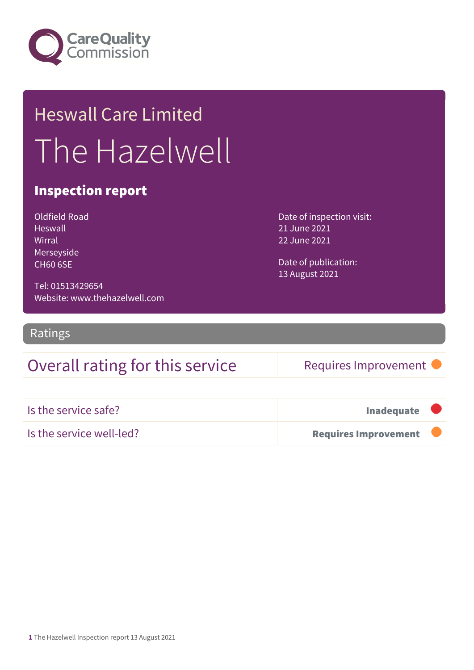

## Heswall Care Limited The Hazelwell

#### Inspection report

| Oldfield Road   |
|-----------------|
| <b>Heswall</b>  |
| Wirral          |
| Merseyside      |
| <b>CH60 6SE</b> |

Date of inspection visit: 21 June 2021 22 June 2021

Date of publication: 13 August 2021

Tel: 01513429654 Website: www.thehazelwell.com

Ratings

### Overall rating for this service Requires Improvement

| Is the service safe?     | Inadequate <b>U</b>    |  |
|--------------------------|------------------------|--|
| Is the service well-led? | Requires Improvement T |  |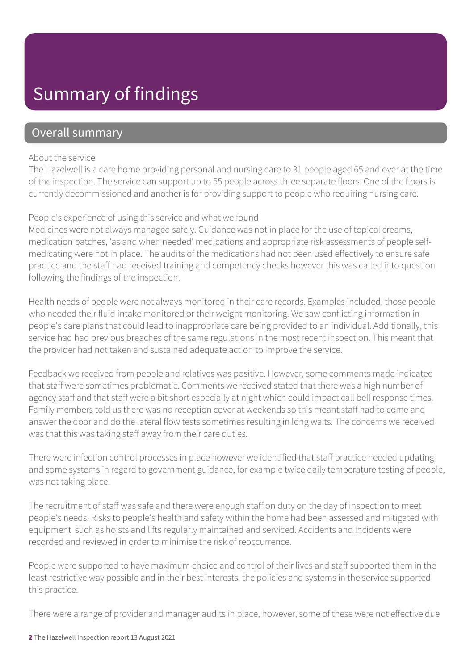### Summary of findings

#### Overall summary

#### About the service

The Hazelwell is a care home providing personal and nursing care to 31 people aged 65 and over at the time of the inspection. The service can support up to 55 people across three separate floors. One of the floors is currently decommissioned and another is for providing support to people who requiring nursing care.

#### People's experience of using this service and what we found

Medicines were not always managed safely. Guidance was not in place for the use of topical creams, medication patches, 'as and when needed' medications and appropriate risk assessments of people selfmedicating were not in place. The audits of the medications had not been used effectively to ensure safe practice and the staff had received training and competency checks however this was called into question following the findings of the inspection.

Health needs of people were not always monitored in their care records. Examples included, those people who needed their fluid intake monitored or their weight monitoring. We saw conflicting information in people's care plans that could lead to inappropriate care being provided to an individual. Additionally, this service had had previous breaches of the same regulations in the most recent inspection. This meant that the provider had not taken and sustained adequate action to improve the service.

Feedback we received from people and relatives was positive. However, some comments made indicated that staff were sometimes problematic. Comments we received stated that there was a high number of agency staff and that staff were a bit short especially at night which could impact call bell response times. Family members told us there was no reception cover at weekends so this meant staff had to come and answer the door and do the lateral flow tests sometimes resulting in long waits. The concerns we received was that this was taking staff away from their care duties.

There were infection control processes in place however we identified that staff practice needed updating and some systems in regard to government guidance, for example twice daily temperature testing of people, was not taking place.

The recruitment of staff was safe and there were enough staff on duty on the day of inspection to meet people's needs. Risks to people's health and safety within the home had been assessed and mitigated with equipment such as hoists and lifts regularly maintained and serviced. Accidents and incidents were recorded and reviewed in order to minimise the risk of reoccurrence.

People were supported to have maximum choice and control of their lives and staff supported them in the least restrictive way possible and in their best interests; the policies and systems in the service supported this practice.

There were a range of provider and manager audits in place, however, some of these were not effective due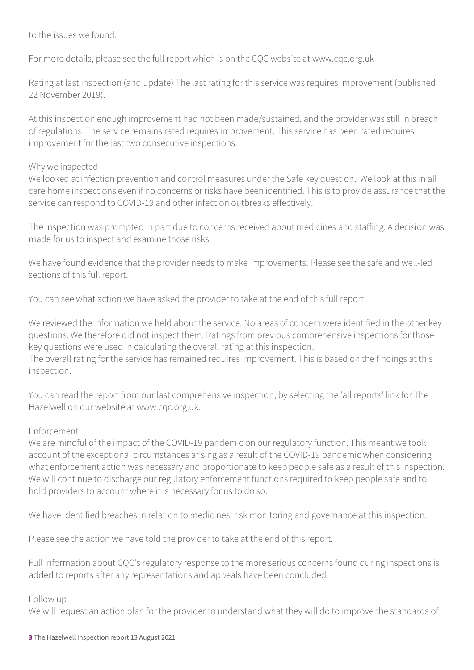to the issues we found.

For more details, please see the full report which is on the CQC website at www.cqc.org.uk

Rating at last inspection (and update) The last rating for this service was requires improvement (published 22 November 2019).

At this inspection enough improvement had not been made/sustained, and the provider was still in breach of regulations. The service remains rated requires improvement. This service has been rated requires improvement for the last two consecutive inspections.

#### Why we inspected

We looked at infection prevention and control measures under the Safe key question. We look at this in all care home inspections even if no concerns or risks have been identified. This is to provide assurance that the service can respond to COVID-19 and other infection outbreaks effectively.

The inspection was prompted in part due to concerns received about medicines and staffing. A decision was made for us to inspect and examine those risks.

We have found evidence that the provider needs to make improvements. Please see the safe and well-led sections of this full report.

You can see what action we have asked the provider to take at the end of this full report.

We reviewed the information we held about the service. No areas of concern were identified in the other key questions. We therefore did not inspect them. Ratings from previous comprehensive inspections for those key questions were used in calculating the overall rating at this inspection.

The overall rating for the service has remained requires improvement. This is based on the findings at this inspection.

You can read the report from our last comprehensive inspection, by selecting the 'all reports' link for The Hazelwell on our website at www.cqc.org.uk.

#### Enforcement

We are mindful of the impact of the COVID-19 pandemic on our regulatory function. This meant we took account of the exceptional circumstances arising as a result of the COVID-19 pandemic when considering what enforcement action was necessary and proportionate to keep people safe as a result of this inspection. We will continue to discharge our regulatory enforcement functions required to keep people safe and to hold providers to account where it is necessary for us to do so.

We have identified breaches in relation to medicines, risk monitoring and governance at this inspection.

Please see the action we have told the provider to take at the end of this report.

Full information about CQC's regulatory response to the more serious concerns found during inspections is added to reports after any representations and appeals have been concluded.

#### Follow up

We will request an action plan for the provider to understand what they will do to improve the standards of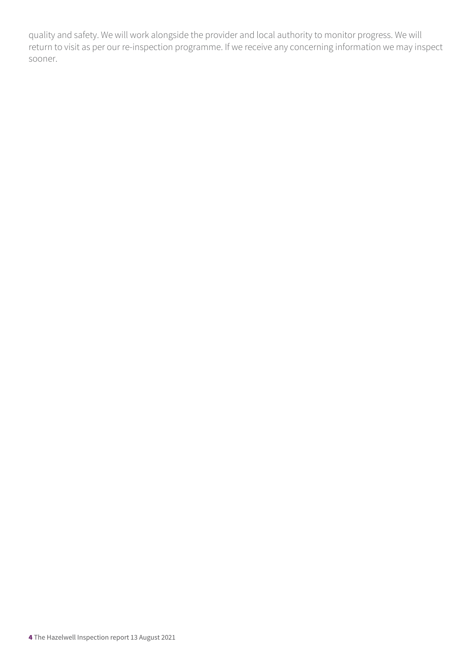quality and safety. We will work alongside the provider and local authority to monitor progress. We will return to visit as per our re-inspection programme. If we receive any concerning information we may inspect sooner.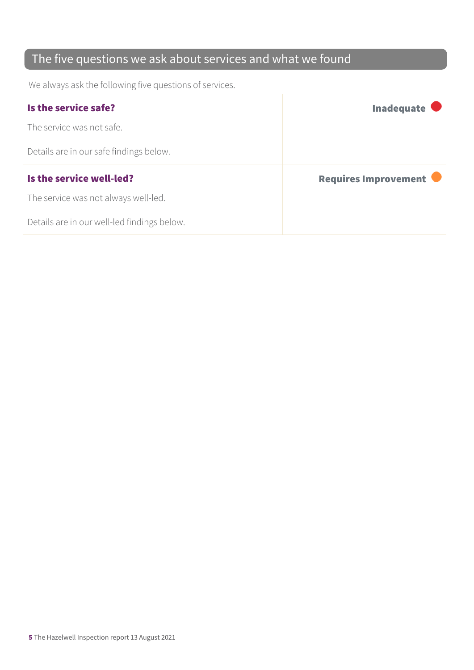### The five questions we ask about services and what we found

We always ask the following five questions of services.

| Is the service safe?                    | Inadequate $\bullet$ |
|-----------------------------------------|----------------------|
| The service was not safe.               |                      |
| Details are in our safe findings below. |                      |
|                                         |                      |
| Is the service well-led?                | Requires Improvement |
| The service was not always well-led.    |                      |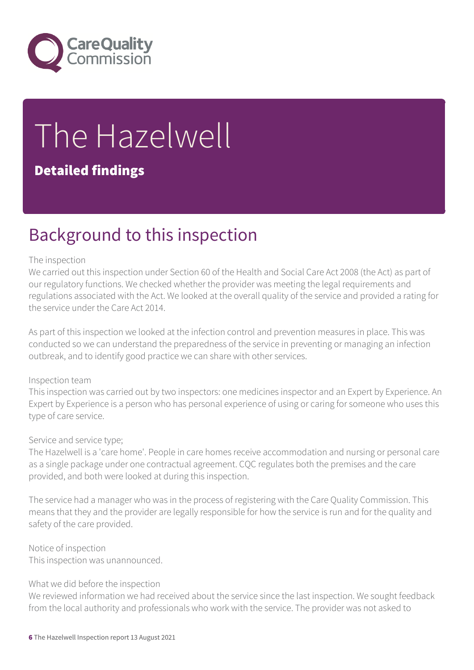

# The Hazelwell

#### Detailed findings

### Background to this inspection

#### The inspection

We carried out this inspection under Section 60 of the Health and Social Care Act 2008 (the Act) as part of our regulatory functions. We checked whether the provider was meeting the legal requirements and regulations associated with the Act. We looked at the overall quality of the service and provided a rating for the service under the Care Act 2014.

As part of this inspection we looked at the infection control and prevention measures in place. This was conducted so we can understand the preparedness of the service in preventing or managing an infection outbreak, and to identify good practice we can share with other services.

#### Inspection team

This inspection was carried out by two inspectors: one medicines inspector and an Expert by Experience. An Expert by Experience is a person who has personal experience of using or caring for someone who uses this type of care service.

#### Service and service type;

The Hazelwell is a 'care home'. People in care homes receive accommodation and nursing or personal care as a single package under one contractual agreement. CQC regulates both the premises and the care provided, and both were looked at during this inspection.

The service had a manager who was in the process of registering with the Care Quality Commission. This means that they and the provider are legally responsible for how the service is run and for the quality and safety of the care provided.

Notice of inspection This inspection was unannounced.

#### What we did before the inspection

We reviewed information we had received about the service since the last inspection. We sought feedback from the local authority and professionals who work with the service. The provider was not asked to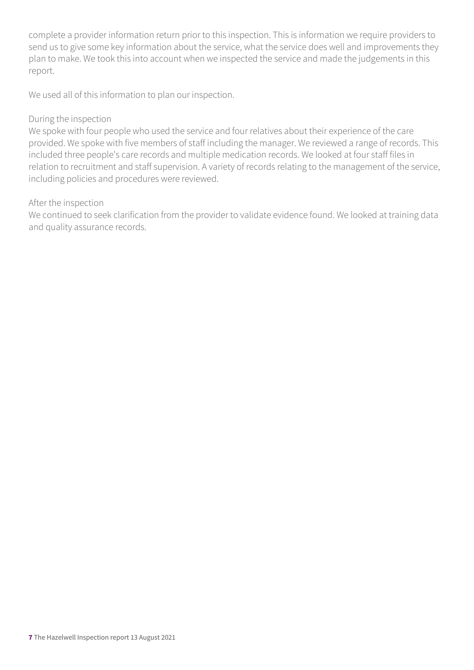complete a provider information return prior to this inspection. This is information we require providers to send us to give some key information about the service, what the service does well and improvements they plan to make. We took this into account when we inspected the service and made the judgements in this report.

We used all of this information to plan our inspection.

#### During the inspection

We spoke with four people who used the service and four relatives about their experience of the care provided. We spoke with five members of staff including the manager. We reviewed a range of records. This included three people's care records and multiple medication records. We looked at four staff files in relation to recruitment and staff supervision. A variety of records relating to the management of the service, including policies and procedures were reviewed.

#### After the inspection

We continued to seek clarification from the provider to validate evidence found. We looked at training data and quality assurance records.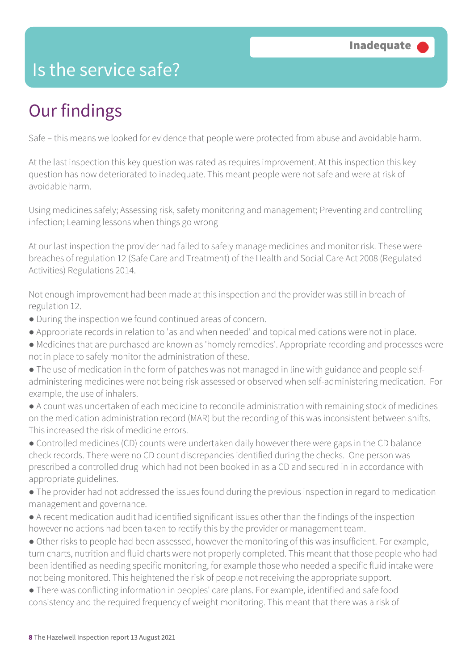### Is the service safe?

### Our findings

Safe – this means we looked for evidence that people were protected from abuse and avoidable harm.

At the last inspection this key question was rated as requires improvement. At this inspection this key question has now deteriorated to inadequate. This meant people were not safe and were at risk of avoidable harm.

Using medicines safely; Assessing risk, safety monitoring and management; Preventing and controlling infection; Learning lessons when things go wrong

At our last inspection the provider had failed to safely manage medicines and monitor risk. These were breaches of regulation 12 (Safe Care and Treatment) of the Health and Social Care Act 2008 (Regulated Activities) Regulations 2014.

Not enough improvement had been made at this inspection and the provider was still in breach of regulation 12.

- During the inspection we found continued areas of concern.
- Appropriate records in relation to 'as and when needed' and topical medications were not in place.
- Medicines that are purchased are known as 'homely remedies'. Appropriate recording and processes were not in place to safely monitor the administration of these.
- The use of medication in the form of patches was not managed in line with guidance and people selfadministering medicines were not being risk assessed or observed when self-administering medication. For example, the use of inhalers.
- A count was undertaken of each medicine to reconcile administration with remaining stock of medicines on the medication administration record (MAR) but the recording of this was inconsistent between shifts. This increased the risk of medicine errors.
- Controlled medicines (CD) counts were undertaken daily however there were gaps in the CD balance check records. There were no CD count discrepancies identified during the checks. One person was prescribed a controlled drug which had not been booked in as a CD and secured in in accordance with appropriate guidelines.
- The provider had not addressed the issues found during the previous inspection in regard to medication management and governance.
- A recent medication audit had identified significant issues other than the findings of the inspection however no actions had been taken to rectify this by the provider or management team.
- Other risks to people had been assessed, however the monitoring of this was insufficient. For example, turn charts, nutrition and fluid charts were not properly completed. This meant that those people who had been identified as needing specific monitoring, for example those who needed a specific fluid intake were not being monitored. This heightened the risk of people not receiving the appropriate support.
- There was conflicting information in peoples' care plans. For example, identified and safe food consistency and the required frequency of weight monitoring. This meant that there was a risk of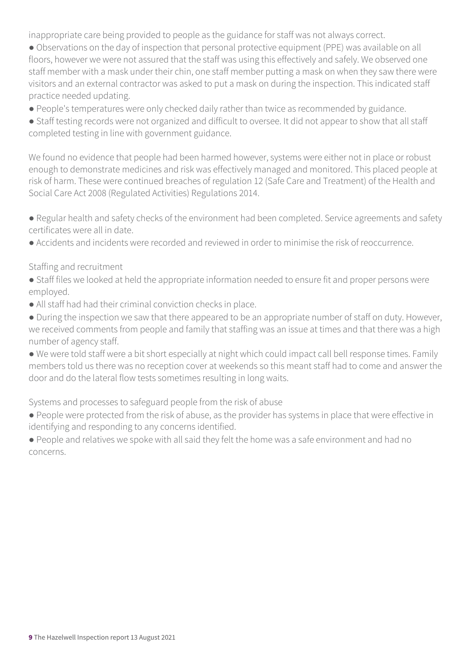inappropriate care being provided to people as the guidance for staff was not always correct.

- Observations on the day of inspection that personal protective equipment (PPE) was available on all floors, however we were not assured that the staff was using this effectively and safely. We observed one staff member with a mask under their chin, one staff member putting a mask on when they saw there were visitors and an external contractor was asked to put a mask on during the inspection. This indicated staff practice needed updating.
- People's temperatures were only checked daily rather than twice as recommended by guidance.
- Staff testing records were not organized and difficult to oversee. It did not appear to show that all staff completed testing in line with government guidance.

We found no evidence that people had been harmed however, systems were either not in place or robust enough to demonstrate medicines and risk was effectively managed and monitored. This placed people at risk of harm. These were continued breaches of regulation 12 (Safe Care and Treatment) of the Health and Social Care Act 2008 (Regulated Activities) Regulations 2014.

- Regular health and safety checks of the environment had been completed. Service agreements and safety certificates were all in date.
- Accidents and incidents were recorded and reviewed in order to minimise the risk of reoccurrence.

#### Staffing and recruitment

- Staff files we looked at held the appropriate information needed to ensure fit and proper persons were employed.
- All staff had had their criminal conviction checks in place.
- During the inspection we saw that there appeared to be an appropriate number of staff on duty. However, we received comments from people and family that staffing was an issue at times and that there was a high number of agency staff.
- We were told staff were a bit short especially at night which could impact call bell response times. Family members told us there was no reception cover at weekends so this meant staff had to come and answer the door and do the lateral flow tests sometimes resulting in long waits.

Systems and processes to safeguard people from the risk of abuse

- People were protected from the risk of abuse, as the provider has systems in place that were effective in identifying and responding to any concerns identified.
- People and relatives we spoke with all said they felt the home was a safe environment and had no concerns.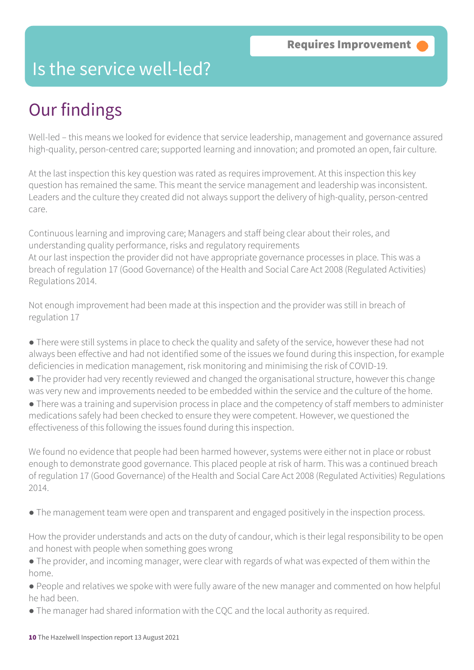### Is the service well-led?

### Our findings

Well-led – this means we looked for evidence that service leadership, management and governance assured high-quality, person-centred care; supported learning and innovation; and promoted an open, fair culture.

At the last inspection this key question was rated as requires improvement. At this inspection this key question has remained the same. This meant the service management and leadership was inconsistent. Leaders and the culture they created did not always support the delivery of high-quality, person-centred care.

Continuous learning and improving care; Managers and staff being clear about their roles, and understanding quality performance, risks and regulatory requirements At our last inspection the provider did not have appropriate governance processes in place. This was a breach of regulation 17 (Good Governance) of the Health and Social Care Act 2008 (Regulated Activities) Regulations 2014.

Not enough improvement had been made at this inspection and the provider was still in breach of regulation 17

- There were still systems in place to check the quality and safety of the service, however these had not always been effective and had not identified some of the issues we found during this inspection, for example deficiencies in medication management, risk monitoring and minimising the risk of COVID-19.
- The provider had very recently reviewed and changed the organisational structure, however this change was very new and improvements needed to be embedded within the service and the culture of the home.
- There was a training and supervision process in place and the competency of staff members to administer medications safely had been checked to ensure they were competent. However, we questioned the effectiveness of this following the issues found during this inspection.

We found no evidence that people had been harmed however, systems were either not in place or robust enough to demonstrate good governance. This placed people at risk of harm. This was a continued breach of regulation 17 (Good Governance) of the Health and Social Care Act 2008 (Regulated Activities) Regulations 2014.

● The management team were open and transparent and engaged positively in the inspection process.

How the provider understands and acts on the duty of candour, which is their legal responsibility to be open and honest with people when something goes wrong

● The provider, and incoming manager, were clear with regards of what was expected of them within the home.

● People and relatives we spoke with were fully aware of the new manager and commented on how helpful he had been.

• The manager had shared information with the CQC and the local authority as required.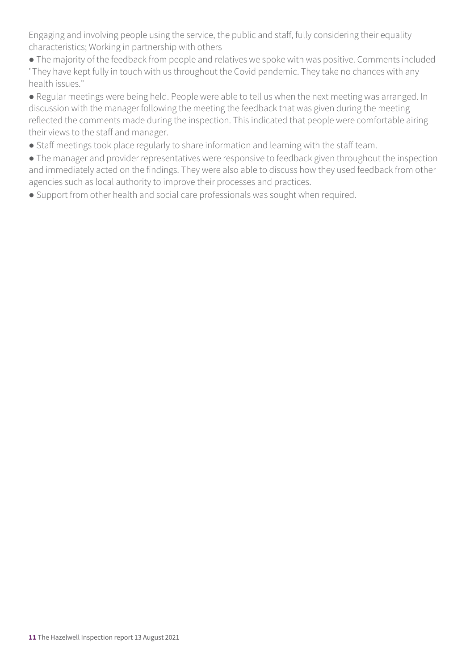Engaging and involving people using the service, the public and staff, fully considering their equality characteristics; Working in partnership with others

- The majority of the feedback from people and relatives we spoke with was positive. Comments included "They have kept fully in touch with us throughout the Covid pandemic. They take no chances with any health issues."
- Regular meetings were being held. People were able to tell us when the next meeting was arranged. In discussion with the manager following the meeting the feedback that was given during the meeting reflected the comments made during the inspection. This indicated that people were comfortable airing their views to the staff and manager.
- Staff meetings took place regularly to share information and learning with the staff team.
- The manager and provider representatives were responsive to feedback given throughout the inspection and immediately acted on the findings. They were also able to discuss how they used feedback from other agencies such as local authority to improve their processes and practices.
- Support from other health and social care professionals was sought when required.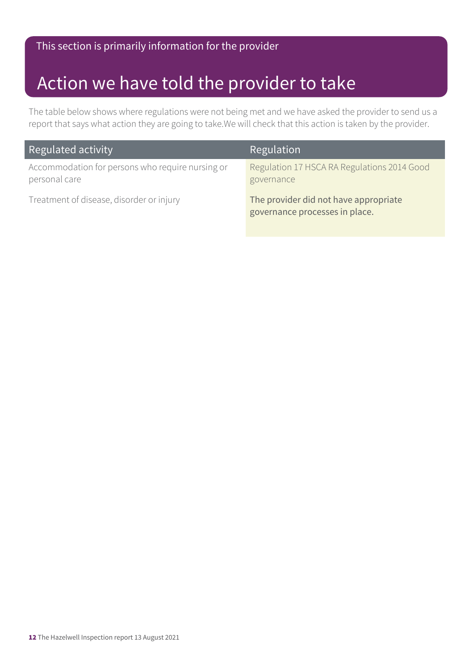### Action we have told the provider to take

The table below shows where regulations were not being met and we have asked the provider to send us a report that says what action they are going to take.We will check that this action is taken by the provider.

| Regulated activity                                                | Regulation                                                              |
|-------------------------------------------------------------------|-------------------------------------------------------------------------|
| Accommodation for persons who require nursing or<br>personal care | Regulation 17 HSCA RA Regulations 2014 Good<br>governance               |
| Treatment of disease, disorder or injury                          | The provider did not have appropriate<br>governance processes in place. |